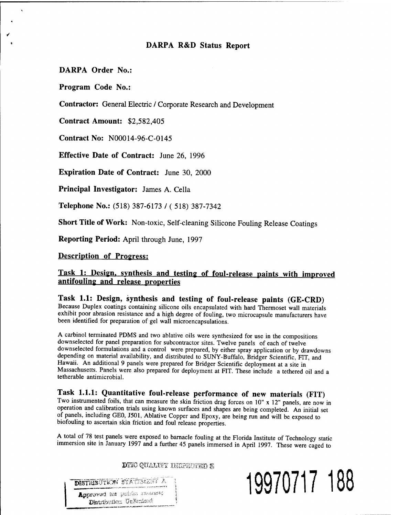## **DARPA R&D Status Report**

**DARPA Order No.:**

**Program Code No.:**

**Contractor:** General Electric / Corporate Research and Development

**Contract Amount:** \$2,582,405

**Contract No:** N00014-96-C-0145

**Effective Date of Contract:** June 26, 1996

**Expiration Date of Contract:** June 30, 2000

**Principal Investigator:** James A. Cella

**Telephone No.:** (518) 387-6173 / ( 518) 387-7342

**Short Title of Work:** Non-toxic, Self-cleaning Silicone Fouling Release Coatings

**Reporting Period:** April through June, 1997

**Description of Progress:**

## **Task It Design, synthesis and testing of foul-release paints with improved antifouling and release properties**

**Task 1.1: Design, synthesis and testing of foul-release paints (GE-CRD)** Because Duplex coatings containing silicone oils encapsulated with hard Thermoset wall materials exhibit poor abrasion resistance and a high degree of fouling, two microcapsule manufacturers have been identified for preparation of gel wall microencapsulations.

A carbinol terminated PDMS and two ablative oils were synthesized for use in the compositions downselected for panel preparation for subcontractor sites. Twelve panels of each of twelve downselected formulations and a control were prepared, by either spray application or by drawdowns depending on material availability, and distributed to SUNY-Buffalo, Bridger Scientific, FIT, and Hawaii. An additional 9 panels were prepared for Bridger Scientific deployment at a site in Massachusetts. Panels were also prepared for deployment at FIT. These include a tethered oil and a tetherable antimicrobial.

## **Task 1.1.1: Quantitative foul-release performance of new materials (FIT)**

Two instrumented foils, that can measure the skin friction drag forces on 10" x 12" panels, are now in operation and calibration trials using known surfaces and shapes are being completed. An initial set of panels, including GE0, J501, Ablative Copper and Epoxy, are being run and will be exposed to biofouling to ascertain skin friction and foul release properties.

A total of 78 test panels were exposed to barnacle fouling at the Florida Institute of Technology static immersion site in January 1997 and a further 45 panels immersed in April 1997. These were caged to

DTIC QUALITY INGPECTED S

**EXPLUSIVE STATE STATE 3.1.2.2.2.2.2.2.2. 19970717 188**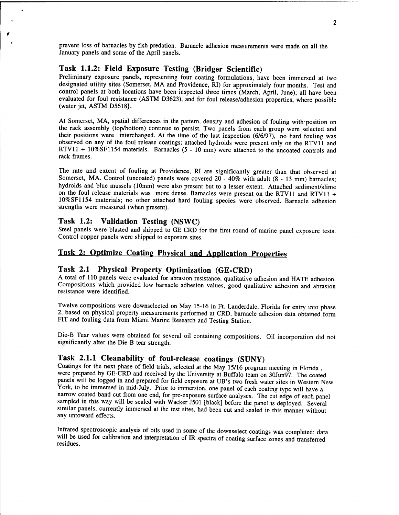prevent loss of barnacles by fish predation. Barnacle adhesion measurements were made on all the January panels and some of the April panels.

## Task 1.1.2: Field Exposure Testing (Bridger Scientific)

Preliminary exposure panels, representing four coating formulations, have been immersed at two designated utility sites (Somerset, MA and Providence, RI) for approximately four months. Test and control panels at both locations have been inspected three times (March, April, June); all have been evaluated for foul resistance (ASTM D3623), and for foul release/adhesion properties, where possible (water jet, ASTM D5618).

At Somerset, MA, spatial differences in the pattern, density and adhesion of fouling with-position on the rack assembly (top/bottom) continue to persist. Two panels from each group were selected and their positions were interchanged. At the time of the last inspection (6/6/97), no hard fouling was observed on any of the foul release coatings; attached hydroids were present only on the RTV11 and RTV11 + 10%SF1154 materials. Barnacles (5 - 10 mm) were attached to the uncoated controls and rack frames.

The rate and extent of fouling at Providence, RI are significantly greater than that observed at Somerset, MA. Control (uncoated) panels were covered 20 - 40% with adult (8 - 13 mm) barnacles; hydroids and blue mussels (10mm) were also present but to a lesser extent. Attached sediment/slime on the foul release materials was more dense. Barnacles were present on the RTV11 and RTV11 + 10%SF1154 materials; no other attached hard fouling species were observed. Barnacle adhesion strengths were measured (when present).

#### Task 1.2: Validation Testing (NSWC)

Steel panels were blasted and shipped to GE CRD for the first round of marine panel exposure tests. Control copper panels were shipped to exposure sites.

# Task 2: Optimize Coating Physical and Application Properties

## Task 2.1 Physical Property Optimization (GE-CRD)

A total of 110 panels were evaluated for abrasion resistance, qualitative adhesion and HATE adhesion. Compositions which provided low barnacle adhesion values, good qualitative adhesion and abrasion resistance were identified.

Twelve compositions were downselected on May 15-16 in Ft. Lauderdale, Florida for entry into phase 2, based on physical property measurements performed at CRD, barnacle adhesion data obtained form FIT and fouling data from Miami Marine Research and Testing Station.

Die-B Tear values were obtained for several oil containing compositions. Oil incorporation did not significantly alter the Die B tear strength.

## Task 2.1.1 Cleanability of foul-release coatings (SUNY)

Coatings for the next phase of field trials, selected at the May 15/16 program meeting in Florida , were prepared by GE-CRD and received by the University at Buffalo team on 30Jun97. The coated panels will be logged in and prepared for field exposure at UB's two fresh water sites in Western New York, to be immersed in mid-July. Prior to immersion, one panel of each coating type will have a narrow coated band cut from one end, for pre-exposure surface analyses. The cut edge of each panel sampled in this way will be sealed with Wacker J501 [black] before the panel is deployed. Several similar panels, currently immersed at the test sites, had been cut and sealed in this manner without any untoward effects.

Infrared spectroscopic analysis of oils used in some of the downselect coatings was completed; data will be used for calibration and interpretation of IR spectra of coating surface zones and transferred residues.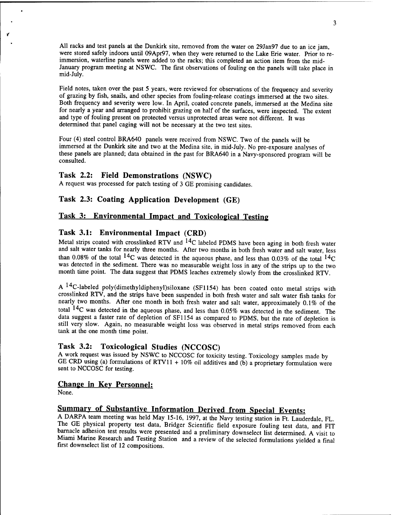All racks and test panels at the Dunkirk site, removed from the water on 29Jan97 due to an ice jam, were stored safely indoors until 09Apr97, when they were returned to the Lake Erie water. Prior to reimmersion, waterline panels were added to the racks; this completed an action item from the mid-January program meeting at NSWC. The first observations of fouling on the panels will take place in mid-July.

Field notes, taken over the past 5 years, were reviewed for observations of the frequency and severity of grazing by fish, snails, and other species from fouling-release coatings immersed at the two sites. Both frequency and severity were low. In April, coated concrete panels, immersed at the Medina site for nearly a year and arranged to prohibit grazing on half of the surfaces, were inspected. The extent and type of fouling present on protected versus unprotected areas were not different. It was determined that panel caging will not be necessary at the two test sites.

Four (4) steel control BRA640 panels were received from NSWC. Two of the panels will be immersed at the Dunkirk site and two at the Medina site, in mid-July. No pre-exposure analyses of these panels are planned; data obtained in the past for BRA640 in a Navy-sponsored program will be consulted.

## Task 2.2: Field Demonstrations (NSWC)

A request was processed for patch testing of 3 GE promising candidates.

## Task 2.3: Coating Application Development (GE)

#### Task 3: Environmental Impact and Toxicological Testing

## Task 3.1: Environmental Impact (CRD)

Metal strips coated with crosslinked RTV and  $14<sub>C</sub>$  labeled PDMS have been aging in both fresh water and salt water tanks for nearly three months. After two months in both fresh water and salt water, less than 0.08% of the total <sup>14</sup>C was detected in the aqueous phase, and less than 0.03% of the total <sup>14</sup>C was detected in the sediment. There was no measurable weight loss in any of the strips up to the two month time point. The data suggest that PDMS leaches extremely slowly from the crosslinked RTV.

A <sup>14</sup>C-labeled poly(dimethyldiphenyl)siloxane (SF1154) has been coated onto metal strips with crosslinked RTV, and the strips have been suspended in both fresh water and salt water fish tanks for nearly two months. After one month in both fresh water and salt water, approximately 0.1% of the total <sup>14</sup>C was detected in the aqueous phase, and less than 0.05% was detected in the sediment. The data suggest a faster rate of depletion of SF1154 as compared to PDMS, but the rate of depletion is still very slow. Again, no measurable weight loss was observed in metal strips removed from each tank at the one month time point.

#### Task 3.2: Toxicological Studies (NCCOSC)

A work request was issued by NSWC to NCCOSC for toxicity testing. Toxicology samples made by GE CRD using (a) formulations of RTV11 + 10% oil additives and (b) a proprietary formulation were sent to NCCOSC for testing.

#### Change in Key Personnel:

None.

## Summary of Substantive Information Derived from Special Events:

A DARPA team meeting was held May 15-16, 1997, at the Navy testing station in Ft. Lauderdale, FL. The GE physical property test data, Bridger Scientific field exposure fouling test data, and FIT barnacle adhesion test results were presented and a preliminary downselect list determined. A visit to Miami Marine Research and Testing Station and a review of the selected formulations yielded a final first downselect list of 12 compositions.